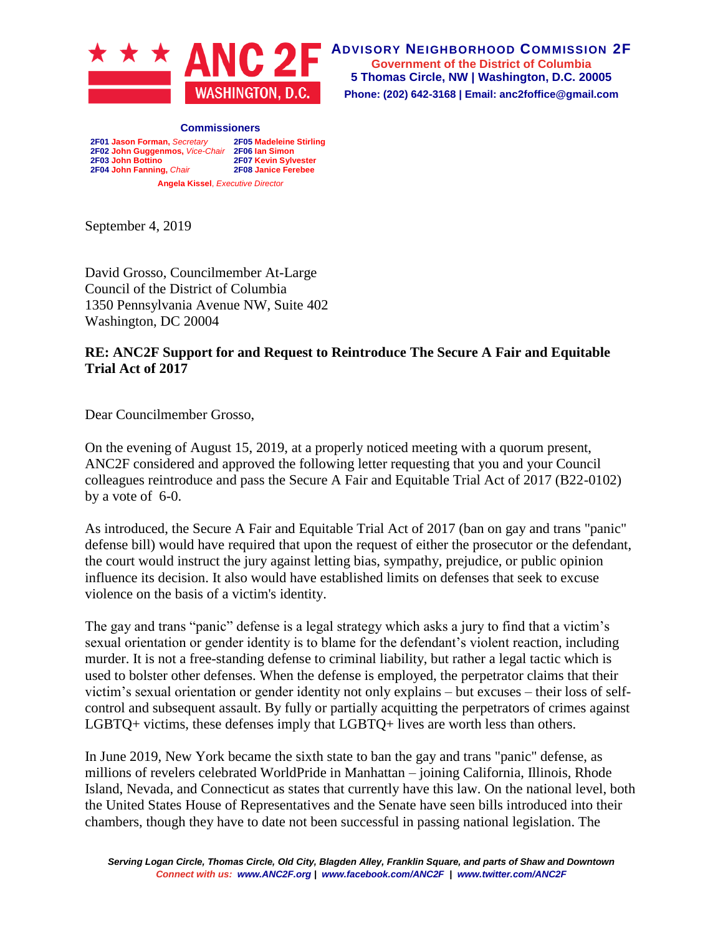

**ADVISORY NEIGHBORHOOD COMMISSION 2F Government of the District of Columbia 5 Thomas Circle, NW | Washington, D.C. 20005 Phone: (202) 642-3168 | Email: anc2foffice@gmail.com**

**Commissioners 2F01 Jason Forman,** *Secretary* **2F05 Madeleine Stirling 2F02 John Guggenmos,** *Vice-Chair* **2F06 Ian Simon 2F03 John Bottino 2F07 Kevin Sylvester 2F04 John Fanning,** *Chair* **2F08 Janice Ferebee Angela Kissel**, *Executive Director*

September 4, 2019

David Grosso, Councilmember At-Large Council of the District of Columbia 1350 Pennsylvania Avenue NW, Suite 402 Washington, DC 20004

## **RE: ANC2F Support for and Request to Reintroduce The Secure A Fair and Equitable Trial Act of 2017**

Dear Councilmember Grosso,

On the evening of August 15, 2019, at a properly noticed meeting with a quorum present, ANC2F considered and approved the following letter requesting that you and your Council colleagues reintroduce and pass the Secure A Fair and Equitable Trial Act of 2017 (B22-0102) by a vote of 6-0.

As introduced, the Secure A Fair and Equitable Trial Act of 2017 (ban on gay and trans "panic" defense bill) would have required that upon the request of either the prosecutor or the defendant, the court would instruct the jury against letting bias, sympathy, prejudice, or public opinion influence its decision. It also would have established limits on defenses that seek to excuse violence on the basis of a victim's identity.

The gay and trans "panic" defense is a legal strategy which asks a jury to find that a victim's sexual orientation or gender identity is to blame for the defendant's violent reaction, including murder. It is not a free-standing defense to criminal liability, but rather a legal tactic which is used to bolster other defenses. When the defense is employed, the perpetrator claims that their victim's sexual orientation or gender identity not only explains – but excuses – their loss of selfcontrol and subsequent assault. By fully or partially acquitting the perpetrators of crimes against LGBTQ+ victims, these defenses imply that LGBTQ+ lives are worth less than others.

In June 2019, New York became the sixth state to ban the gay and trans "panic" defense, as millions of revelers celebrated WorldPride in Manhattan – joining California, Illinois, Rhode Island, Nevada, and Connecticut as states that currently have this law. On the national level, both the United States House of Representatives and the Senate have seen bills introduced into their chambers, though they have to date not been successful in passing national legislation. The